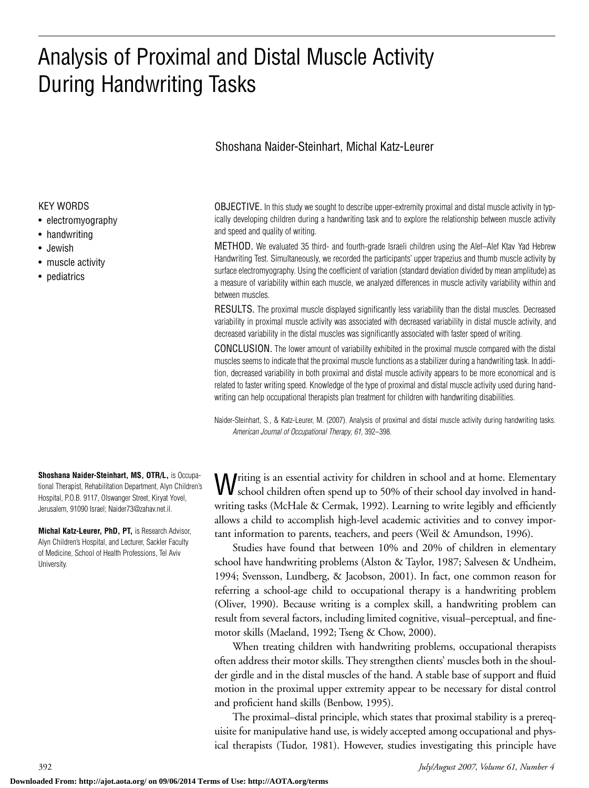# Analysis of Proximal and Distal Muscle Activity During Handwriting Tasks

## Shoshana Naider-Steinhart, Michal Katz-Leurer

### KEY WORDS

- electromyography
- handwriting
- Jewish
- muscle activity
- pediatrics

**Shoshana Naider-Steinhart, MS, OTR/L,** is Occupational Therapist, Rehabilitation Department, Alyn Children's Hospital, P.O.B. 9117, Olswanger Street, Kiryat Yovel, Jerusalem, 91090 Israel; Naider73@zahav.net.il.

**Michal Katz-Leurer, PhD, PT,** is Research Advisor, Alyn Children's Hospital, and Lecturer, Sackler Faculty of Medicine, School of Health Professions, Tel Aviv University.

OBJECTIVE. In this study we sought to describe upper-extremity proximal and distal muscle activity in typically developing children during a handwriting task and to explore the relationship between muscle activity and speed and quality of writing.

METHOD. We evaluated 35 third- and fourth-grade Israeli children using the Alef–Alef Ktav Yad Hebrew Handwriting Test. Simultaneously, we recorded the participants' upper trapezius and thumb muscle activity by surface electromyography. Using the coefficient of variation (standard deviation divided by mean amplitude) as a measure of variability within each muscle, we analyzed differences in muscle activity variability within and between muscles.

RESULTS. The proximal muscle displayed significantly less variability than the distal muscles. Decreased variability in proximal muscle activity was associated with decreased variability in distal muscle activity, and decreased variability in the distal muscles was significantly associated with faster speed of writing.

CONCLUSION. The lower amount of variability exhibited in the proximal muscle compared with the distal muscles seems to indicate that the proximal muscle functions as a stabilizer during a handwriting task. In addition, decreased variability in both proximal and distal muscle activity appears to be more economical and is related to faster writing speed. Knowledge of the type of proximal and distal muscle activity used during handwriting can help occupational therapists plan treatment for children with handwriting disabilities.

Naider-Steinhart, S., & Katz-Leurer, M. (2007). Analysis of proximal and distal muscle activity during handwriting tasks. *American Journal of Occupational Therapy, 61,* 392–398.

Writing is an essential activity for children in school and at home. Elementary school children often spend up to 50% of their school day involved in handwriting tasks (McHale & Cermak, 1992). Learning to write legibly and efficiently allows a child to accomplish high-level academic activities and to convey important information to parents, teachers, and peers (Weil & Amundson, 1996).

Studies have found that between 10% and 20% of children in elementary school have handwriting problems (Alston & Taylor, 1987; Salvesen & Undheim, 1994; Svensson, Lundberg, & Jacobson, 2001). In fact, one common reason for referring a school-age child to occupational therapy is a handwriting problem (Oliver, 1990). Because writing is a complex skill, a handwriting problem can result from several factors, including limited cognitive, visual–perceptual, and finemotor skills (Maeland, 1992; Tseng & Chow, 2000).

When treating children with handwriting problems, occupational therapists often address their motor skills. They strengthen clients' muscles both in the shoulder girdle and in the distal muscles of the hand. A stable base of support and fluid motion in the proximal upper extremity appear to be necessary for distal control and proficient hand skills (Benbow, 1995).

The proximal–distal principle, which states that proximal stability is a prerequisite for manipulative hand use, is widely accepted among occupational and physical therapists (Tudor, 1981). However, studies investigating this principle have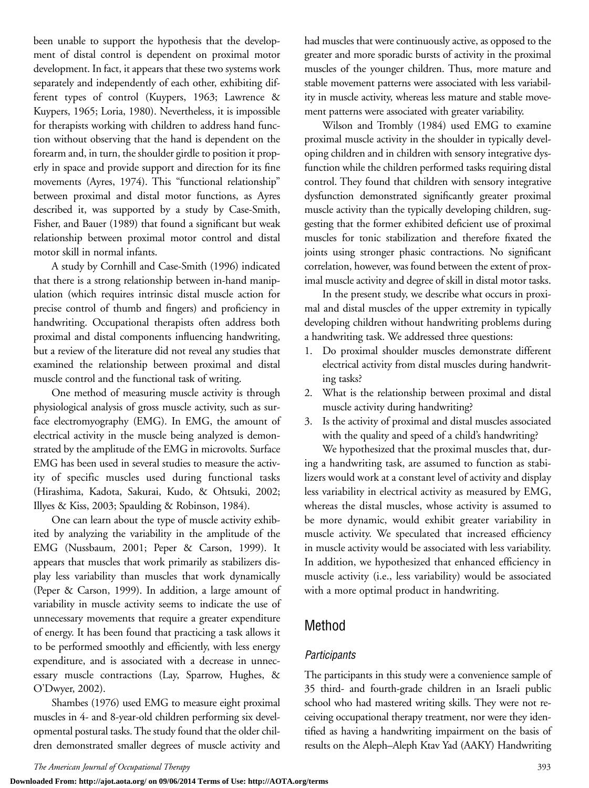been unable to support the hypothesis that the development of distal control is dependent on proximal motor development. In fact, it appears that these two systems work separately and independently of each other, exhibiting different types of control (Kuypers, 1963; Lawrence & Kuypers, 1965; Loria, 1980). Nevertheless, it is impossible for therapists working with children to address hand function without observing that the hand is dependent on the forearm and, in turn, the shoulder girdle to position it properly in space and provide support and direction for its fine movements (Ayres, 1974). This "functional relationship" between proximal and distal motor functions, as Ayres described it, was supported by a study by Case-Smith, Fisher, and Bauer (1989) that found a significant but weak relationship between proximal motor control and distal motor skill in normal infants.

A study by Cornhill and Case-Smith (1996) indicated that there is a strong relationship between in-hand manipulation (which requires intrinsic distal muscle action for precise control of thumb and fingers) and proficiency in handwriting. Occupational therapists often address both proximal and distal components influencing handwriting, but a review of the literature did not reveal any studies that examined the relationship between proximal and distal muscle control and the functional task of writing.

One method of measuring muscle activity is through physiological analysis of gross muscle activity, such as surface electromyography (EMG). In EMG, the amount of electrical activity in the muscle being analyzed is demonstrated by the amplitude of the EMG in microvolts. Surface EMG has been used in several studies to measure the activity of specific muscles used during functional tasks (Hirashima, Kadota, Sakurai, Kudo, & Ohtsuki, 2002; Illyes & Kiss, 2003; Spaulding & Robinson, 1984).

One can learn about the type of muscle activity exhibited by analyzing the variability in the amplitude of the EMG (Nussbaum, 2001; Peper & Carson, 1999). It appears that muscles that work primarily as stabilizers display less variability than muscles that work dynamically (Peper & Carson, 1999). In addition, a large amount of variability in muscle activity seems to indicate the use of unnecessary movements that require a greater expenditure of energy. It has been found that practicing a task allows it to be performed smoothly and efficiently, with less energy expenditure, and is associated with a decrease in unnecessary muscle contractions (Lay, Sparrow, Hughes, & O'Dwyer, 2002).

Shambes (1976) used EMG to measure eight proximal muscles in 4- and 8-year-old children performing six developmental postural tasks. The study found that the older children demonstrated smaller degrees of muscle activity and had muscles that were continuously active, as opposed to the greater and more sporadic bursts of activity in the proximal muscles of the younger children. Thus, more mature and stable movement patterns were associated with less variability in muscle activity, whereas less mature and stable movement patterns were associated with greater variability.

Wilson and Trombly (1984) used EMG to examine proximal muscle activity in the shoulder in typically developing children and in children with sensory integrative dysfunction while the children performed tasks requiring distal control. They found that children with sensory integrative dysfunction demonstrated significantly greater proximal muscle activity than the typically developing children, suggesting that the former exhibited deficient use of proximal muscles for tonic stabilization and therefore fixated the joints using stronger phasic contractions. No significant correlation, however, was found between the extent of proximal muscle activity and degree of skill in distal motor tasks.

In the present study, we describe what occurs in proximal and distal muscles of the upper extremity in typically developing children without handwriting problems during a handwriting task. We addressed three questions:

- 1. Do proximal shoulder muscles demonstrate different electrical activity from distal muscles during handwriting tasks?
- 2. What is the relationship between proximal and distal muscle activity during handwriting?
- 3. Is the activity of proximal and distal muscles associated with the quality and speed of a child's handwriting?

We hypothesized that the proximal muscles that, during a handwriting task, are assumed to function as stabilizers would work at a constant level of activity and display less variability in electrical activity as measured by EMG, whereas the distal muscles, whose activity is assumed to be more dynamic, would exhibit greater variability in muscle activity. We speculated that increased efficiency in muscle activity would be associated with less variability. In addition, we hypothesized that enhanced efficiency in muscle activity (i.e., less variability) would be associated with a more optimal product in handwriting.

# Method

### *Participants*

The participants in this study were a convenience sample of 35 third- and fourth-grade children in an Israeli public school who had mastered writing skills. They were not receiving occupational therapy treatment, nor were they identified as having a handwriting impairment on the basis of results on the Aleph–Aleph Ktav Yad (AAKY) Handwriting

**Downloaded From: http://ajot.aota.org/ on 09/06/2014 Terms of Use: http://AOTA.org/terms**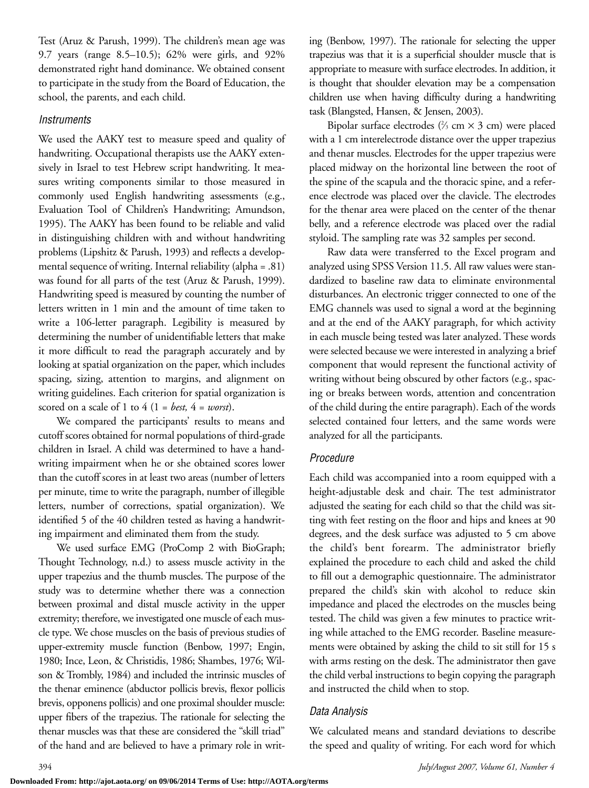Test (Aruz & Parush, 1999). The children's mean age was 9.7 years (range 8.5–10.5); 62% were girls, and 92% demonstrated right hand dominance. We obtained consent to participate in the study from the Board of Education, the school, the parents, and each child.

### *Instruments*

We used the AAKY test to measure speed and quality of handwriting. Occupational therapists use the AAKY extensively in Israel to test Hebrew script handwriting. It measures writing components similar to those measured in commonly used English handwriting assessments (e.g., Evaluation Tool of Children's Handwriting; Amundson, 1995). The AAKY has been found to be reliable and valid in distinguishing children with and without handwriting problems (Lipshitz & Parush, 1993) and reflects a developmental sequence of writing. Internal reliability (alpha = .81) was found for all parts of the test (Aruz & Parush, 1999). Handwriting speed is measured by counting the number of letters written in 1 min and the amount of time taken to write a 106-letter paragraph. Legibility is measured by determining the number of unidentifiable letters that make it more difficult to read the paragraph accurately and by looking at spatial organization on the paper, which includes spacing, sizing, attention to margins, and alignment on writing guidelines. Each criterion for spatial organization is scored on a scale of 1 to  $4(1 = best, 4 = worst)$ .

We compared the participants' results to means and cutoff scores obtained for normal populations of third-grade children in Israel. A child was determined to have a handwriting impairment when he or she obtained scores lower than the cutoff scores in at least two areas (number of letters per minute, time to write the paragraph, number of illegible letters, number of corrections, spatial organization). We identified 5 of the 40 children tested as having a handwriting impairment and eliminated them from the study.

We used surface EMG (ProComp 2 with BioGraph; Thought Technology, n.d.) to assess muscle activity in the upper trapezius and the thumb muscles. The purpose of the study was to determine whether there was a connection between proximal and distal muscle activity in the upper extremity; therefore, we investigated one muscle of each muscle type. We chose muscles on the basis of previous studies of upper-extremity muscle function (Benbow, 1997; Engin, 1980; Ince, Leon, & Christidis, 1986; Shambes, 1976; Wilson & Trombly, 1984) and included the intrinsic muscles of the thenar eminence (abductor pollicis brevis, flexor pollicis brevis, opponens pollicis) and one proximal shoulder muscle: upper fibers of the trapezius. The rationale for selecting the thenar muscles was that these are considered the "skill triad" of the hand and are believed to have a primary role in writing (Benbow, 1997). The rationale for selecting the upper trapezius was that it is a superficial shoulder muscle that is appropriate to measure with surface electrodes. In addition, it is thought that shoulder elevation may be a compensation children use when having difficulty during a handwriting task (Blangsted, Hansen, & Jensen, 2003).

Bipolar surface electrodes  $(2/3 cm \times 3 cm)$  were placed with a 1 cm interelectrode distance over the upper trapezius and thenar muscles. Electrodes for the upper trapezius were placed midway on the horizontal line between the root of the spine of the scapula and the thoracic spine, and a reference electrode was placed over the clavicle. The electrodes for the thenar area were placed on the center of the thenar belly, and a reference electrode was placed over the radial styloid. The sampling rate was 32 samples per second.

Raw data were transferred to the Excel program and analyzed using SPSS Version 11.5. All raw values were standardized to baseline raw data to eliminate environmental disturbances. An electronic trigger connected to one of the EMG channels was used to signal a word at the beginning and at the end of the AAKY paragraph, for which activity in each muscle being tested was later analyzed. These words were selected because we were interested in analyzing a brief component that would represent the functional activity of writing without being obscured by other factors (e.g., spacing or breaks between words, attention and concentration of the child during the entire paragraph). Each of the words selected contained four letters, and the same words were analyzed for all the participants.

### *Procedure*

Each child was accompanied into a room equipped with a height-adjustable desk and chair. The test administrator adjusted the seating for each child so that the child was sitting with feet resting on the floor and hips and knees at 90 degrees, and the desk surface was adjusted to 5 cm above the child's bent forearm. The administrator briefly explained the procedure to each child and asked the child to fill out a demographic questionnaire. The administrator prepared the child's skin with alcohol to reduce skin impedance and placed the electrodes on the muscles being tested. The child was given a few minutes to practice writing while attached to the EMG recorder. Baseline measurements were obtained by asking the child to sit still for 15 s with arms resting on the desk. The administrator then gave the child verbal instructions to begin copying the paragraph and instructed the child when to stop.

### *Data Analysis*

We calculated means and standard deviations to describe the speed and quality of writing. For each word for which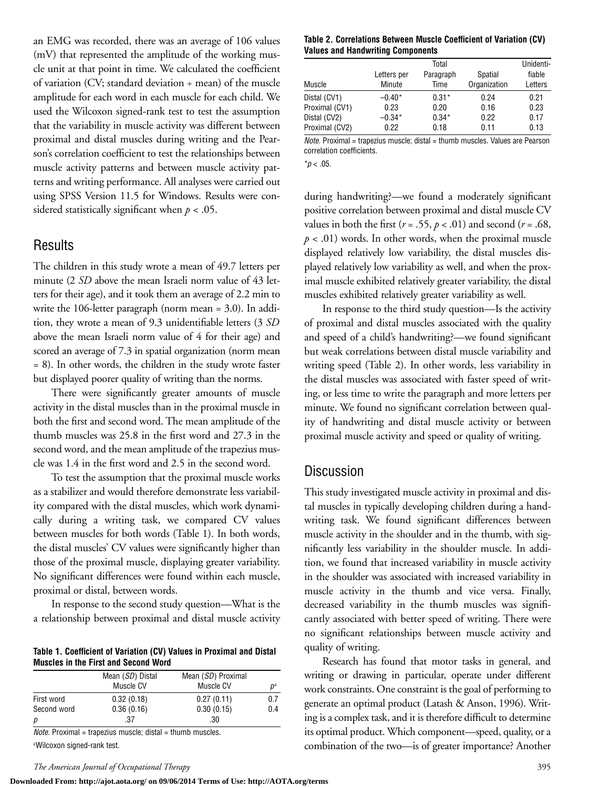an EMG was recorded, there was an average of 106 values (mV) that represented the amplitude of the working muscle unit at that point in time. We calculated the coefficient of variation (CV; standard deviation ÷ mean) of the muscle amplitude for each word in each muscle for each child. We used the Wilcoxon signed-rank test to test the assumption that the variability in muscle activity was different between proximal and distal muscles during writing and the Pearson's correlation coefficient to test the relationships between muscle activity patterns and between muscle activity patterns and writing performance. All analyses were carried out using SPSS Version 11.5 for Windows. Results were considered statistically significant when *p* < .05.

# **Results**

The children in this study wrote a mean of 49.7 letters per minute (2 *SD* above the mean Israeli norm value of 43 letters for their age), and it took them an average of 2.2 min to write the 106-letter paragraph (norm mean = 3.0). In addition, they wrote a mean of 9.3 unidentifiable letters (3 *SD* above the mean Israeli norm value of 4 for their age) and scored an average of 7.3 in spatial organization (norm mean = 8). In other words, the children in the study wrote faster but displayed poorer quality of writing than the norms.

There were significantly greater amounts of muscle activity in the distal muscles than in the proximal muscle in both the first and second word. The mean amplitude of the thumb muscles was 25.8 in the first word and 27.3 in the second word, and the mean amplitude of the trapezius muscle was 1.4 in the first word and 2.5 in the second word.

To test the assumption that the proximal muscle works as a stabilizer and would therefore demonstrate less variability compared with the distal muscles, which work dynamically during a writing task, we compared CV values between muscles for both words (Table 1). In both words, the distal muscles' CV values were significantly higher than those of the proximal muscle, displaying greater variability. No significant differences were found within each muscle, proximal or distal, between words.

In response to the second study question—What is the a relationship between proximal and distal muscle activity

**Table 1. Coefficient of Variation (CV) Values in Proximal and Distal Muscles in the First and Second Word**

|             | Mean (SD) Distal | Mean (SD) Proximal |             |  |
|-------------|------------------|--------------------|-------------|--|
|             | Muscle CV        | Muscle CV          | $D^{\rm a}$ |  |
| First word  | 0.32(0.18)       | 0.27(0.11)         | 0.7         |  |
| Second word | 0.36(0.16)       | 0.30(0.15)         | 0.4         |  |
| р           | .37              | .30                |             |  |

*Note.* Proximal = trapezius muscle; distal = thumb muscles. a Wilcoxon signed-rank test.

# *The American Journal of Occupational Therapy* 395

#### **Downloaded From: http://ajot.aota.org/ on 09/06/2014 Terms of Use: http://AOTA.org/terms**

### **Table 2. Correlations Between Muscle Coefficient of Variation (CV) Values and Handwriting Components**

| Letters per<br>Minute | Paragraph<br>Time | Spatial | fiable       |
|-----------------------|-------------------|---------|--------------|
|                       |                   |         | Letters      |
| $-0.40*$              | $0.31*$           | 0.24    | 0.21         |
| 0.23                  | 0.20              | 0.16    | 0.23         |
| $-0.34*$              | $0.34*$           | 0.22    | 0.17         |
| 0.22                  | 0.18              | 0.11    | 0.13         |
|                       |                   | .       | Organization |

*Note.* Proximal = trapezius muscle; distal = thumb muscles. Values are Pearson correlation coefficients.

 $*p < .05$ .

during handwriting?—we found a moderately significant positive correlation between proximal and distal muscle CV values in both the first ( $r = .55$ ,  $p < .01$ ) and second ( $r = .68$ ,  $p < .01$ ) words. In other words, when the proximal muscle displayed relatively low variability, the distal muscles displayed relatively low variability as well, and when the proximal muscle exhibited relatively greater variability, the distal muscles exhibited relatively greater variability as well.

In response to the third study question—Is the activity of proximal and distal muscles associated with the quality and speed of a child's handwriting?—we found significant but weak correlations between distal muscle variability and writing speed (Table 2). In other words, less variability in the distal muscles was associated with faster speed of writing, or less time to write the paragraph and more letters per minute. We found no significant correlation between quality of handwriting and distal muscle activity or between proximal muscle activity and speed or quality of writing.

# **Discussion**

This study investigated muscle activity in proximal and distal muscles in typically developing children during a handwriting task. We found significant differences between muscle activity in the shoulder and in the thumb, with significantly less variability in the shoulder muscle. In addition, we found that increased variability in muscle activity in the shoulder was associated with increased variability in muscle activity in the thumb and vice versa. Finally, decreased variability in the thumb muscles was significantly associated with better speed of writing. There were no significant relationships between muscle activity and quality of writing.

Research has found that motor tasks in general, and writing or drawing in particular, operate under different work constraints. One constraint is the goal of performing to generate an optimal product (Latash & Anson, 1996). Writing is a complex task, and it is therefore difficult to determine its optimal product. Which component—speed, quality, or a combination of the two—is of greater importance? Another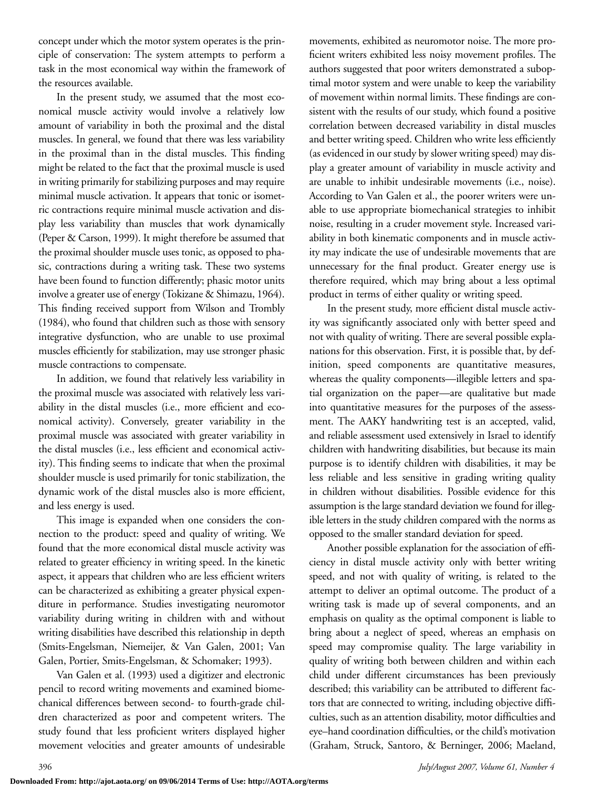concept under which the motor system operates is the principle of conservation: The system attempts to perform a task in the most economical way within the framework of the resources available.

In the present study, we assumed that the most economical muscle activity would involve a relatively low amount of variability in both the proximal and the distal muscles. In general, we found that there was less variability in the proximal than in the distal muscles. This finding might be related to the fact that the proximal muscle is used in writing primarily for stabilizing purposes and may require minimal muscle activation. It appears that tonic or isometric contractions require minimal muscle activation and display less variability than muscles that work dynamically (Peper & Carson, 1999). It might therefore be assumed that the proximal shoulder muscle uses tonic, as opposed to phasic, contractions during a writing task. These two systems have been found to function differently; phasic motor units involve a greater use of energy (Tokizane & Shimazu, 1964). This finding received support from Wilson and Trombly (1984), who found that children such as those with sensory integrative dysfunction, who are unable to use proximal muscles efficiently for stabilization, may use stronger phasic muscle contractions to compensate.

In addition, we found that relatively less variability in the proximal muscle was associated with relatively less variability in the distal muscles (i.e., more efficient and economical activity). Conversely, greater variability in the proximal muscle was associated with greater variability in the distal muscles (i.e., less efficient and economical activity). This finding seems to indicate that when the proximal shoulder muscle is used primarily for tonic stabilization, the dynamic work of the distal muscles also is more efficient, and less energy is used.

This image is expanded when one considers the connection to the product: speed and quality of writing. We found that the more economical distal muscle activity was related to greater efficiency in writing speed. In the kinetic aspect, it appears that children who are less efficient writers can be characterized as exhibiting a greater physical expenditure in performance. Studies investigating neuromotor variability during writing in children with and without writing disabilities have described this relationship in depth (Smits-Engelsman, Niemeijer, & Van Galen, 2001; Van Galen, Portier, Smits-Engelsman, & Schomaker; 1993).

Van Galen et al. (1993) used a digitizer and electronic pencil to record writing movements and examined biomechanical differences between second- to fourth-grade children characterized as poor and competent writers. The study found that less proficient writers displayed higher movement velocities and greater amounts of undesirable

movements, exhibited as neuromotor noise. The more proficient writers exhibited less noisy movement profiles. The authors suggested that poor writers demonstrated a suboptimal motor system and were unable to keep the variability of movement within normal limits. These findings are consistent with the results of our study, which found a positive correlation between decreased variability in distal muscles and better writing speed. Children who write less efficiently (as evidenced in our study by slower writing speed) may display a greater amount of variability in muscle activity and are unable to inhibit undesirable movements (i.e., noise). According to Van Galen et al., the poorer writers were unable to use appropriate biomechanical strategies to inhibit noise, resulting in a cruder movement style. Increased variability in both kinematic components and in muscle activity may indicate the use of undesirable movements that are unnecessary for the final product. Greater energy use is therefore required, which may bring about a less optimal product in terms of either quality or writing speed.

In the present study, more efficient distal muscle activity was significantly associated only with better speed and not with quality of writing. There are several possible explanations for this observation. First, it is possible that, by definition, speed components are quantitative measures, whereas the quality components—illegible letters and spatial organization on the paper—are qualitative but made into quantitative measures for the purposes of the assessment. The AAKY handwriting test is an accepted, valid, and reliable assessment used extensively in Israel to identify children with handwriting disabilities, but because its main purpose is to identify children with disabilities, it may be less reliable and less sensitive in grading writing quality in children without disabilities. Possible evidence for this assumption is the large standard deviation we found for illegible letters in the study children compared with the norms as opposed to the smaller standard deviation for speed.

Another possible explanation for the association of efficiency in distal muscle activity only with better writing speed, and not with quality of writing, is related to the attempt to deliver an optimal outcome. The product of a writing task is made up of several components, and an emphasis on quality as the optimal component is liable to bring about a neglect of speed, whereas an emphasis on speed may compromise quality. The large variability in quality of writing both between children and within each child under different circumstances has been previously described; this variability can be attributed to different factors that are connected to writing, including objective difficulties, such as an attention disability, motor difficulties and eye–hand coordination difficulties, or the child's motivation (Graham, Struck, Santoro, & Berninger, 2006; Maeland,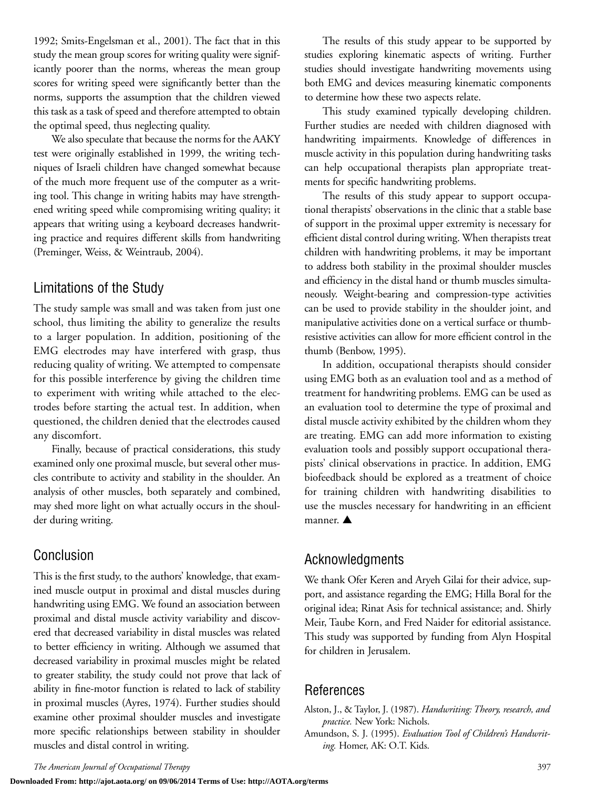1992; Smits-Engelsman et al., 2001). The fact that in this study the mean group scores for writing quality were significantly poorer than the norms, whereas the mean group scores for writing speed were significantly better than the norms, supports the assumption that the children viewed this task as a task of speed and therefore attempted to obtain the optimal speed, thus neglecting quality.

We also speculate that because the norms for the AAKY test were originally established in 1999, the writing techniques of Israeli children have changed somewhat because of the much more frequent use of the computer as a writing tool. This change in writing habits may have strengthened writing speed while compromising writing quality; it appears that writing using a keyboard decreases handwriting practice and requires different skills from handwriting (Preminger, Weiss, & Weintraub, 2004).

# Limitations of the Study

The study sample was small and was taken from just one school, thus limiting the ability to generalize the results to a larger population. In addition, positioning of the EMG electrodes may have interfered with grasp, thus reducing quality of writing. We attempted to compensate for this possible interference by giving the children time to experiment with writing while attached to the electrodes before starting the actual test. In addition, when questioned, the children denied that the electrodes caused any discomfort.

Finally, because of practical considerations, this study examined only one proximal muscle, but several other muscles contribute to activity and stability in the shoulder. An analysis of other muscles, both separately and combined, may shed more light on what actually occurs in the shoulder during writing.

# Conclusion

This is the first study, to the authors' knowledge, that examined muscle output in proximal and distal muscles during handwriting using EMG. We found an association between proximal and distal muscle activity variability and discovered that decreased variability in distal muscles was related to better efficiency in writing. Although we assumed that decreased variability in proximal muscles might be related to greater stability, the study could not prove that lack of ability in fine-motor function is related to lack of stability in proximal muscles (Ayres, 1974). Further studies should examine other proximal shoulder muscles and investigate more specific relationships between stability in shoulder muscles and distal control in writing.

The results of this study appear to be supported by studies exploring kinematic aspects of writing. Further studies should investigate handwriting movements using both EMG and devices measuring kinematic components to determine how these two aspects relate.

This study examined typically developing children. Further studies are needed with children diagnosed with handwriting impairments. Knowledge of differences in muscle activity in this population during handwriting tasks can help occupational therapists plan appropriate treatments for specific handwriting problems.

The results of this study appear to support occupational therapists' observations in the clinic that a stable base of support in the proximal upper extremity is necessary for efficient distal control during writing. When therapists treat children with handwriting problems, it may be important to address both stability in the proximal shoulder muscles and efficiency in the distal hand or thumb muscles simultaneously. Weight-bearing and compression-type activities can be used to provide stability in the shoulder joint, and manipulative activities done on a vertical surface or thumbresistive activities can allow for more efficient control in the thumb (Benbow, 1995).

In addition, occupational therapists should consider using EMG both as an evaluation tool and as a method of treatment for handwriting problems. EMG can be used as an evaluation tool to determine the type of proximal and distal muscle activity exhibited by the children whom they are treating. EMG can add more information to existing evaluation tools and possibly support occupational therapists' clinical observations in practice. In addition, EMG biofeedback should be explored as a treatment of choice for training children with handwriting disabilities to use the muscles necessary for handwriting in an efficient manner. **▲**

# Acknowledgments

We thank Ofer Keren and Aryeh Gilai for their advice, support, and assistance regarding the EMG; Hilla Boral for the original idea; Rinat Asis for technical assistance; and. Shirly Meir, Taube Korn, and Fred Naider for editorial assistance. This study was supported by funding from Alyn Hospital for children in Jerusalem.

# References

Alston, J., & Taylor, J. (1987). *Handwriting: Theory, research, and practice.* New York: Nichols.

Amundson, S. J. (1995). *Evaluation Tool of Children's Handwriting.* Homer, AK: O.T. Kids.